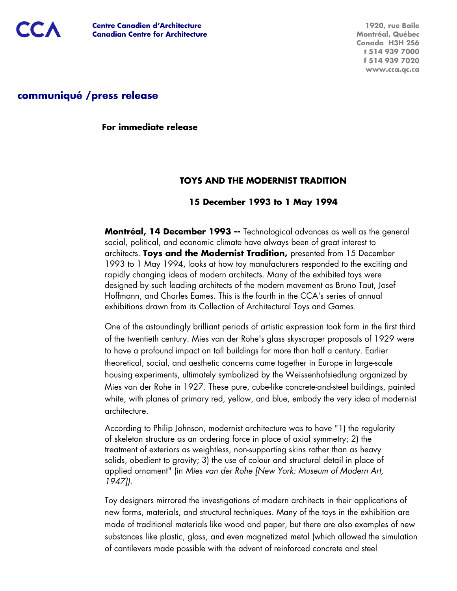

**1920, rue Baile Montréal, Québec Canada H3H 2S6 t 514 939 7000 f 514 939 7020 www.cca.qc.ca**

# **communiqué /press release**

**For immediate release**

## **TOYS AND THE MODERNIST TRADITION**

### **15 December 1993 to 1 May 1994**

**Montréal, 14 December 1993 --** Technological advances as well as the general social, political, and economic climate have always been of great interest to architects. **Toys and the Modernist Tradition,** presented from 15 December 1993 to 1 May 1994, looks at how toy manufacturers responded to the exciting and rapidly changing ideas of modern architects. Many of the exhibited toys were designed by such leading architects of the modern movement as Bruno Taut, Josef Hoffmann, and Charles Eames. This is the fourth in the CCA's series of annual exhibitions drawn from its Collection of Architectural Toys and Games.

One of the astoundingly brilliant periods of artistic expression took form in the first third of the twentieth century. Mies van der Rohe's glass skyscraper proposals of 1929 were to have a profound impact on tall buildings for more than half a century. Earlier theoretical, social, and aesthetic concerns came together in Europe in large-scale housing experiments, ultimately symbolized by the Weissenhofsiedlung organized by Mies van der Rohe in 1927. These pure, cube-like concrete-and-steel buildings, painted white, with planes of primary red, yellow, and blue, embody the very idea of modernist architecture.

According to Philip Johnson, modernist architecture was to have "1) the regularity of skeleton structure as an ordering force in place of axial symmetry; 2) the treatment of exteriors as weightless, non-supporting skins rather than as heavy solids, obedient to gravity; 3) the use of colour and structural detail in place of applied ornament" (in Mies van der Rohe [New York: Museum of Modern Art, 1947]).

Toy designers mirrored the investigations of modern architects in their applications of new forms, materials, and structural techniques. Many of the toys in the exhibition are made of traditional materials like wood and paper, but there are also examples of new substances like plastic, glass, and even magnetized metal (which allowed the simulation of cantilevers made possible with the advent of reinforced concrete and steel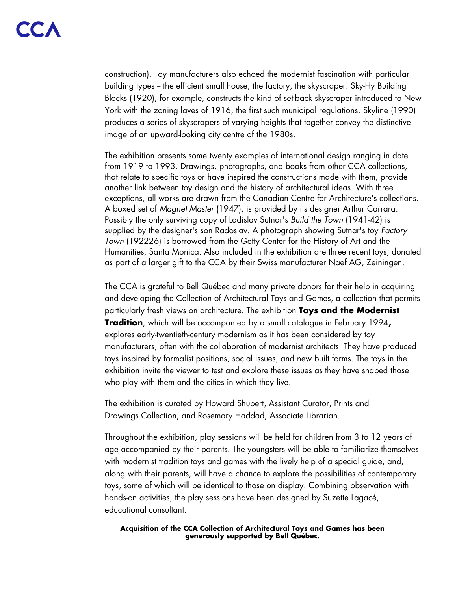construction). Toy manufacturers also echoed the modernist fascination with particular building types -- the efficient small house, the factory, the skyscraper. Sky-Hy Building Blocks (1920), for example, constructs the kind of set-back skyscraper introduced to New York with the zoning laves of 1916, the first such municipal regulations. Skyline (1990) produces a series of skyscrapers of varying heights that together convey the distinctive image of an upward-looking city centre of the 1980s.

The exhibition presents some twenty examples of international design ranging in date from 1919 to 1993. Drawings, photographs, and books from other CCA collections, that relate to specific toys or have inspired the constructions made with them, provide another link between toy design and the history of architectural ideas. With three exceptions, all works are drawn from the Canadian Centre for Architecture's collections. A boxed set of Magnet Master (1947), is provided by its designer Arthur Carrara. Possibly the only surviving copy of Ladislav Sutnar's Build the Town (1941-42) is supplied by the designer's son Radoslav. A photograph showing Sutnar's toy Factory Town (192226) is borrowed from the Getty Center for the History of Art and the Humanities, Santa Monica. Also included in the exhibition are three recent toys, donated as part of a larger gift to the CCA by their Swiss manufacturer Naef AG, Zeiningen.

The CCA is grateful to Bell Québec and many private donors for their help in acquiring and developing the Collection of Architectural Toys and Games, a collection that permits particularly fresh views on architecture. The exhibition **Toys and the Modernist Tradition**, which will be accompanied by a small catalogue in February 1994**,** explores early-twentieth-century modernism as it has been considered by toy manufacturers, often with the collaboration of modernist architects. They have produced toys inspired by formalist positions, social issues, and new built forms. The toys in the exhibition invite the viewer to test and explore these issues as they have shaped those who play with them and the cities in which they live.

The exhibition is curated by Howard Shubert, Assistant Curator, Prints and Drawings Collection, and Rosemary Haddad, Associate Librarian.

Throughout the exhibition, play sessions will be held for children from 3 to 12 years of age accompanied by their parents. The youngsters will be able to familiarize themselves with modernist tradition toys and games with the lively help of a special guide, and, along with their parents, will have a chance to explore the possibilities of contemporary toys, some of which will be identical to those on display. Combining observation with hands-on activities, the play sessions have been designed by Suzette Lagacé, educational consultant.

#### **Acquisition of the CCA Collection of Architectural Toys and Games has been generously supported by Bell Québec.**